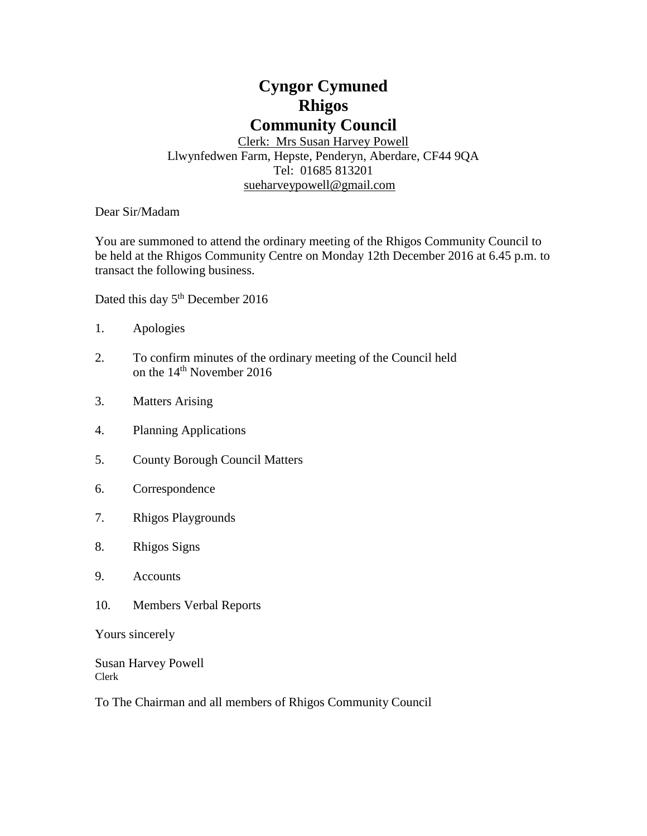# **Cyngor Cymuned Rhigos Community Council**

Clerk: Mrs Susan Harvey Powell Llwynfedwen Farm, Hepste, Penderyn, Aberdare, CF44 9QA Tel: 01685 813201 [sueharveypowell@g](mailto:sharveypowell@comin-infants.co.uk)mail.com

Dear Sir/Madam

You are summoned to attend the ordinary meeting of the Rhigos Community Council to be held at the Rhigos Community Centre on Monday 12th December 2016 at 6.45 p.m. to transact the following business.

Dated this day 5<sup>th</sup> December 2016

- 1. Apologies
- 2. To confirm minutes of the ordinary meeting of the Council held on the 14<sup>th</sup> November 2016
- 3. Matters Arising
- 4. Planning Applications
- 5. County Borough Council Matters
- 6. Correspondence
- 7. Rhigos Playgrounds
- 8. Rhigos Signs
- 9. Accounts
- 10. Members Verbal Reports

Yours sincerely

Susan Harvey Powell Clerk

To The Chairman and all members of Rhigos Community Council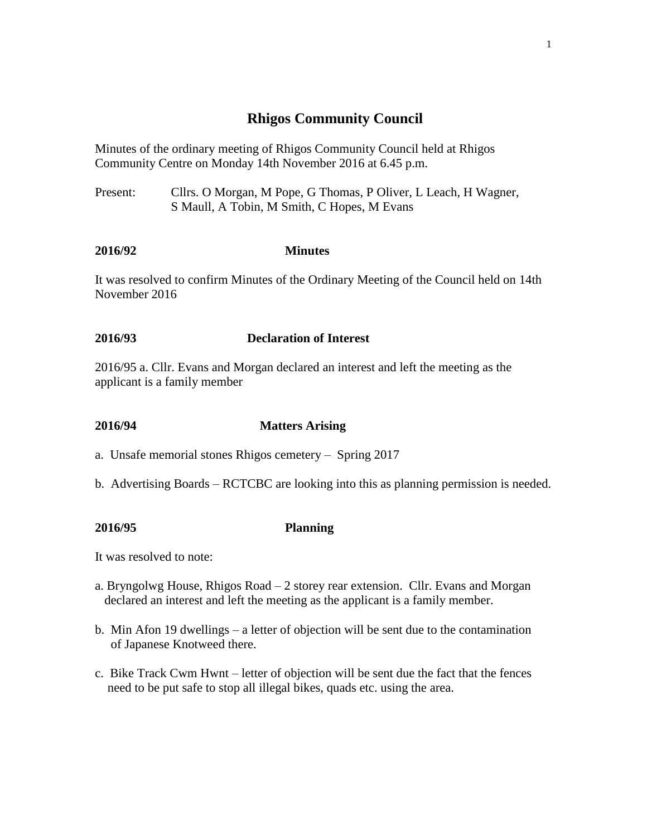## **Rhigos Community Council**

Minutes of the ordinary meeting of Rhigos Community Council held at Rhigos Community Centre on Monday 14th November 2016 at 6.45 p.m.

Present: Cllrs. O Morgan, M Pope, G Thomas, P Oliver, L Leach, H Wagner, S Maull, A Tobin, M Smith, C Hopes, M Evans

#### **2016/92 Minutes**

It was resolved to confirm Minutes of the Ordinary Meeting of the Council held on 14th November 2016

### **2016/93 Declaration of Interest**

2016/95 a. Cllr. Evans and Morgan declared an interest and left the meeting as the applicant is a family member

### **2016/94 Matters Arising**

a. Unsafe memorial stones Rhigos cemetery – Spring 2017

b. Advertising Boards – RCTCBC are looking into this as planning permission is needed.

### **2016/95 Planning**

It was resolved to note:

- a. Bryngolwg House, Rhigos Road 2 storey rear extension. Cllr. Evans and Morgan declared an interest and left the meeting as the applicant is a family member.
- b. Min Afon 19 dwellings a letter of objection will be sent due to the contamination of Japanese Knotweed there.
- c. Bike Track Cwm Hwnt letter of objection will be sent due the fact that the fences need to be put safe to stop all illegal bikes, quads etc. using the area.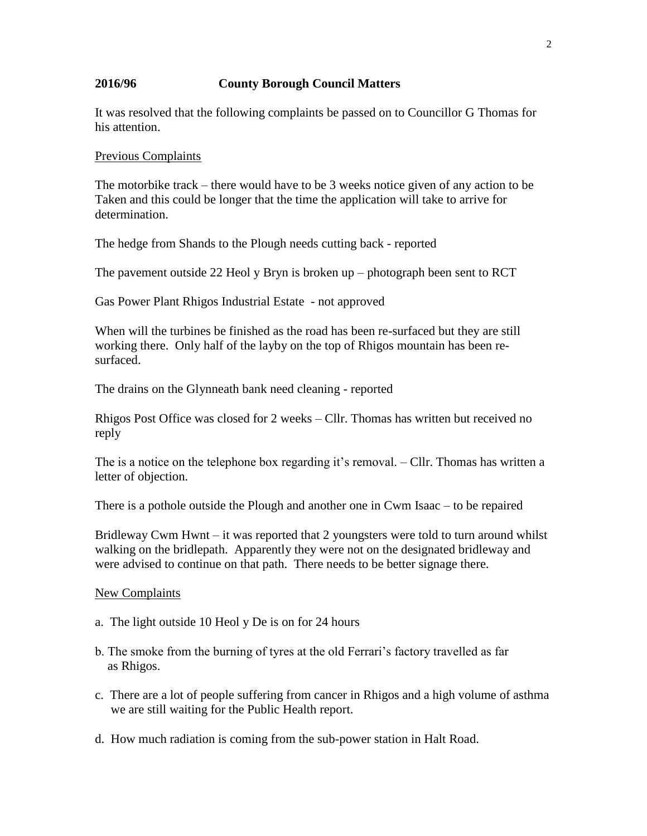#### **2016/96 County Borough Council Matters**

It was resolved that the following complaints be passed on to Councillor G Thomas for his attention.

#### Previous Complaints

The motorbike track – there would have to be 3 weeks notice given of any action to be Taken and this could be longer that the time the application will take to arrive for determination.

The hedge from Shands to the Plough needs cutting back - reported

The pavement outside 22 Heol y Bryn is broken up – photograph been sent to RCT

Gas Power Plant Rhigos Industrial Estate - not approved

When will the turbines be finished as the road has been re-surfaced but they are still working there. Only half of the layby on the top of Rhigos mountain has been resurfaced.

The drains on the Glynneath bank need cleaning - reported

Rhigos Post Office was closed for 2 weeks – Cllr. Thomas has written but received no reply

The is a notice on the telephone box regarding it's removal. – Cllr. Thomas has written a letter of objection.

There is a pothole outside the Plough and another one in Cwm Isaac – to be repaired

Bridleway Cwm Hwnt – it was reported that 2 youngsters were told to turn around whilst walking on the bridlepath. Apparently they were not on the designated bridleway and were advised to continue on that path. There needs to be better signage there.

#### New Complaints

- a. The light outside 10 Heol y De is on for 24 hours
- b. The smoke from the burning of tyres at the old Ferrari's factory travelled as far as Rhigos.
- c. There are a lot of people suffering from cancer in Rhigos and a high volume of asthma we are still waiting for the Public Health report.
- d. How much radiation is coming from the sub-power station in Halt Road.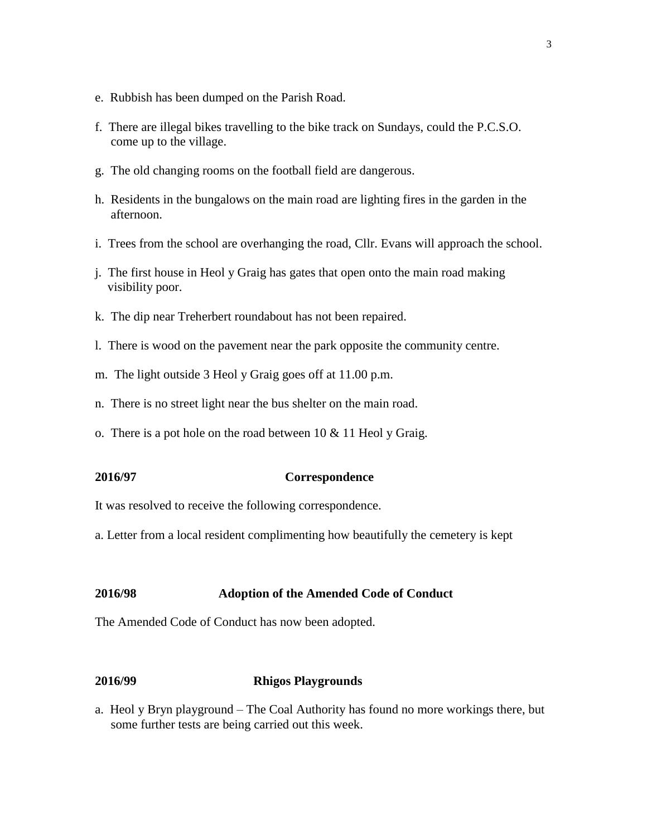- e. Rubbish has been dumped on the Parish Road.
- f. There are illegal bikes travelling to the bike track on Sundays, could the P.C.S.O. come up to the village.
- g. The old changing rooms on the football field are dangerous.
- h. Residents in the bungalows on the main road are lighting fires in the garden in the afternoon.
- i. Trees from the school are overhanging the road, Cllr. Evans will approach the school.
- j. The first house in Heol y Graig has gates that open onto the main road making visibility poor.
- k. The dip near Treherbert roundabout has not been repaired.
- l. There is wood on the pavement near the park opposite the community centre.
- m. The light outside 3 Heol y Graig goes off at 11.00 p.m.
- n. There is no street light near the bus shelter on the main road.
- o. There is a pot hole on the road between 10 & 11 Heol y Graig.

#### **2016/97 Correspondence**

It was resolved to receive the following correspondence.

a. Letter from a local resident complimenting how beautifully the cemetery is kept

#### **2016/98 Adoption of the Amended Code of Conduct**

The Amended Code of Conduct has now been adopted.

#### **2016/99 Rhigos Playgrounds**

a. Heol y Bryn playground – The Coal Authority has found no more workings there, but some further tests are being carried out this week.